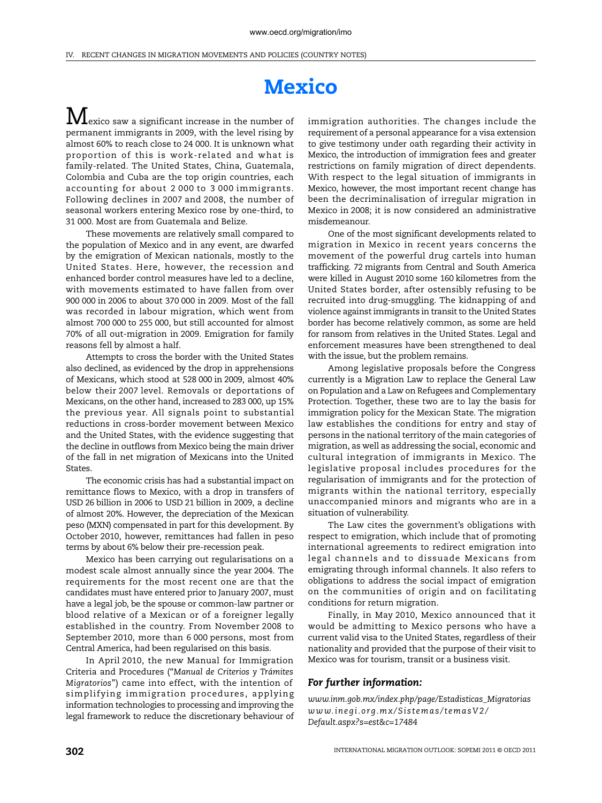## **Mexico**

 $\bf M$ exico saw a significant increase in the number of permanent immigrants in 2009, with the level rising by almost 60% to reach close to 24 000. It is unknown what proportion of this is work-related and what is family-related. The United States, China, Guatemala, Colombia and Cuba are the top origin countries, each accounting for about 2 000 to 3 000 immigrants. Following declines in 2007 and 2008, the number of seasonal workers entering Mexico rose by one-third, to 31 000. Most are from Guatemala and Belize.

These movements are relatively small compared to the population of Mexico and in any event, are dwarfed by the emigration of Mexican nationals, mostly to the United States. Here, however, the recession and enhanced border control measures have led to a decline, with movements estimated to have fallen from over 900 000 in 2006 to about 370 000 in 2009. Most of the fall was recorded in labour migration, which went from almost 700 000 to 255 000, but still accounted for almost 70% of all out-migration in 2009. Emigration for family reasons fell by almost a half.

Attempts to cross the border with the United States also declined, as evidenced by the drop in apprehensions of Mexicans, which stood at 528 000 in 2009, almost 40% below their 2007 level. Removals or deportations of Mexicans, on the other hand, increased to 283 000, up 15% the previous year. All signals point to substantial reductions in cross-border movement between Mexico and the United States, with the evidence suggesting that the decline in outflows from Mexico being the main driver of the fall in net migration of Mexicans into the United States.

The economic crisis has had a substantial impact on remittance flows to Mexico, with a drop in transfers of USD 26 billion in 2006 to USD 21 billion in 2009, a decline of almost 20%. However, the depreciation of the Mexican peso (MXN) compensated in part for this development. By October 2010, however, remittances had fallen in peso terms by about 6% below their pre-recession peak.

Mexico has been carrying out regularisations on a modest scale almost annually since the year 2004. The requirements for the most recent one are that the candidates must have entered prior to January 2007, must have a legal job, be the spouse or common-law partner or blood relative of a Mexican or of a foreigner legally established in the country. From November 2008 to September 2010, more than 6 000 persons, most from Central America, had been regularised on this basis.

In April 2010, the new Manual for Immigration Criteria and Procedures ("*Manual de Criterios y Trámites Migratorios*") came into effect, with the intention of simplifying immigration procedures, applying information technologies to processing and improving the legal framework to reduce the discretionary behaviour of immigration authorities. The changes include the requirement of a personal appearance for a visa extension to give testimony under oath regarding their activity in Mexico, the introduction of immigration fees and greater restrictions on family migration of direct dependents. With respect to the legal situation of immigrants in Mexico, however, the most important recent change has been the decriminalisation of irregular migration in Mexico in 2008; it is now considered an administrative misdemeanour.

One of the most significant developments related to migration in Mexico in recent years concerns the movement of the powerful drug cartels into human trafficking. 72 migrants from Central and South America were killed in August 2010 some 160 kilometres from the United States border, after ostensibly refusing to be recruited into drug-smuggling. The kidnapping of and violence against immigrants in transit to the United States border has become relatively common, as some are held for ransom from relatives in the United States. Legal and enforcement measures have been strengthened to deal with the issue, but the problem remains.

Among legislative proposals before the Congress currently is a Migration Law to replace the General Law on Population and a Law on Refugees and Complementary Protection. Together, these two are to lay the basis for immigration policy for the Mexican State. The migration law establishes the conditions for entry and stay of persons in the national territory of the main categories of migration, as well as addressing the social, economic and cultural integration of immigrants in Mexico. The legislative proposal includes procedures for the regularisation of immigrants and for the protection of migrants within the national territory, especially unaccompanied minors and migrants who are in a situation of vulnerability.

The Law cites the government's obligations with respect to emigration, which include that of promoting international agreements to redirect emigration into legal channels and to dissuade Mexicans from emigrating through informal channels. It also refers to obligations to address the social impact of emigration on the communities of origin and on facilitating conditions for return migration.

Finally, in May 2010, Mexico announced that it would be admitting to Mexico persons who have a current valid visa to the United States, regardless of their nationality and provided that the purpose of their visit to Mexico was for tourism, transit or a business visit.

## *For further information:*

*[www.inm.gob.mx/index.php/page/Estadisticas\\_Migratorias](http://www.inm.gob.mx/index.php/page/Estadisticas_Migratorias) [www.inegi.org.mx/Sistemas/temasV2/](http://www.inegi.org.mx/Sistemas/temasV2/Default.aspx?s=est&c=17484) [Default.aspx?s=est&c=17484](http://www.inegi.org.mx/Sistemas/temasV2/Default.aspx?s=est&c=17484)*